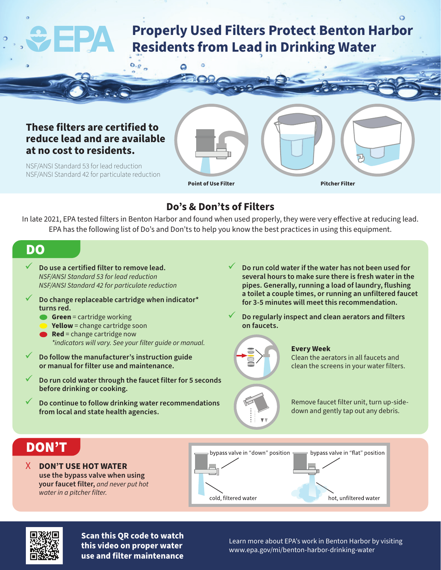# **Properly Used Filters Protect Benton Harbor Residents from Lead in Drinking Water**

### **These filters are certified to reduce lead and are available at no cost to residents.**

 $O_{\alpha}R_{\alpha}$ 

۵

NSF/ANSI Standard 53 for lead reduction NSF/ANSI Standard 42 for particulate reduction

**Point of Use Filter Pitcher Filter**

## **Do's & Don'ts of Filters**

In late 2021, EPA tested filters in Benton Harbor and found when used properly, they were very effective at reducing lead. EPA has the following list of Do's and Don'ts to help you know the best practices in using this equipment.

## DO

- 9 **Do use a certified filter to remove lead.** *NSF/ANSI Standard 53 for lead reduction NSF/ANSI Standard 42 for particulate reduction*
- 9 **Do change replaceable cartridge when indicator\* turns red.**
	- **Green** = cartridge working
	- **Yellow** = change cartridge soon
	- **Red** = change cartridge now *\*indicators will vary. See your filter guide or manual.*
- 9 **Do follow the manufacturer's instruction guide or manual for filter use and maintenance.**
- 9 **Do run cold water through the faucet filter for 5 seconds before drinking or cooking.**
- 9 **Do continue to follow drinking water recommendations from local and state health agencies.**
- 9 **Do run cold water if the water has not been used for several hours to make sure there is fresh water in the pipes. Generally, running a load of laundry, flushing a toilet a couple times, or running an unfiltered faucet for 3-5 minutes will meet this recommendation.**
- 9 **Do regularly inspect and clean aerators and filters on faucets.**



#### **Every Week**

Clean the aerators in all faucets and clean the screens in your water filters.

Remove faucet filter unit, turn up-sidedown and gently tap out any debris.

## DON'T

X **DON'T USE HOT WATER use the bypass valve when using your faucet filter,** *and never put hot water in a pitcher filter.*





**Scan this QR code to watch this video on proper water use and filter maintenance**

Learn more about EPA's work in Benton Harbor by visiting www.epa.gov/mi/benton-harbor-drinking-water